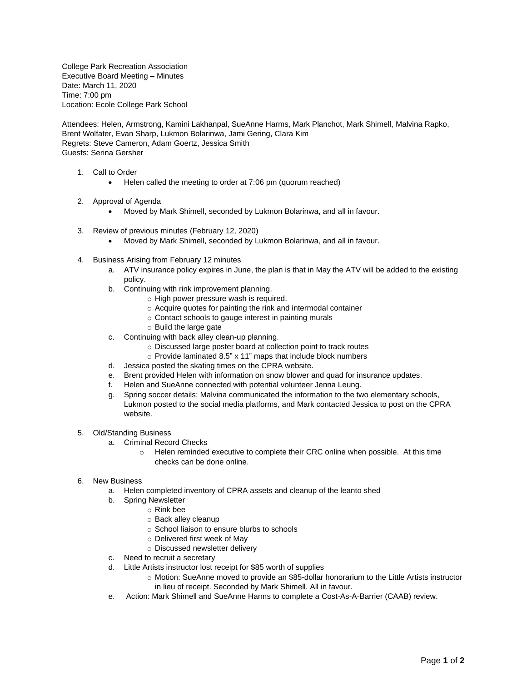College Park Recreation Association Executive Board Meeting – Minutes Date: March 11, 2020 Time: 7:00 pm Location: Ecole College Park School

Attendees: Helen, Armstrong, Kamini Lakhanpal, SueAnne Harms, Mark Planchot, Mark Shimell, Malvina Rapko, Brent Wolfater, Evan Sharp, Lukmon Bolarinwa, Jami Gering, Clara Kim Regrets: Steve Cameron, Adam Goertz, Jessica Smith Guests: Serina Gersher

- 1. Call to Order
	- Helen called the meeting to order at 7:06 pm (quorum reached)
- 2. Approval of Agenda
	- Moved by Mark Shimell, seconded by Lukmon Bolarinwa, and all in favour.
- 3. Review of previous minutes (February 12, 2020)
	- Moved by Mark Shimell, seconded by Lukmon Bolarinwa, and all in favour.
- 4. Business Arising from February 12 minutes
	- a. ATV insurance policy expires in June, the plan is that in May the ATV will be added to the existing policy.
	- b. Continuing with rink improvement planning.
		- o High power pressure wash is required.
		- o Acquire quotes for painting the rink and intermodal container
		- o Contact schools to gauge interest in painting murals
		- o Build the large gate
	- c. Continuing with back alley clean-up planning.
		- o Discussed large poster board at collection point to track routes
		- o Provide laminated 8.5" x 11" maps that include block numbers
	- d. Jessica posted the skating times on the CPRA website.
	- e. Brent provided Helen with information on snow blower and quad for insurance updates.
	- f. Helen and SueAnne connected with potential volunteer Jenna Leung.
	- g. Spring soccer details: Malvina communicated the information to the two elementary schools, Lukmon posted to the social media platforms, and Mark contacted Jessica to post on the CPRA website.
- 5. Old/Standing Business
	- a. Criminal Record Checks
		- o Helen reminded executive to complete their CRC online when possible. At this time checks can be done online.
- 6. New Business
	- a. Helen completed inventory of CPRA assets and cleanup of the leanto shed
	- b. Spring Newsletter
		- o Rink bee
			- o Back alley cleanup
			- o School liaison to ensure blurbs to schools
		- o Delivered first week of May
			- o Discussed newsletter delivery
	- c. Need to recruit a secretary
	- d. Little Artists instructor lost receipt for \$85 worth of supplies
		- o Motion: SueAnne moved to provide an \$85-dollar honorarium to the Little Artists instructor in lieu of receipt. Seconded by Mark Shimell. All in favour.
	- e. Action: Mark Shimell and SueAnne Harms to complete a Cost-As-A-Barrier (CAAB) review.